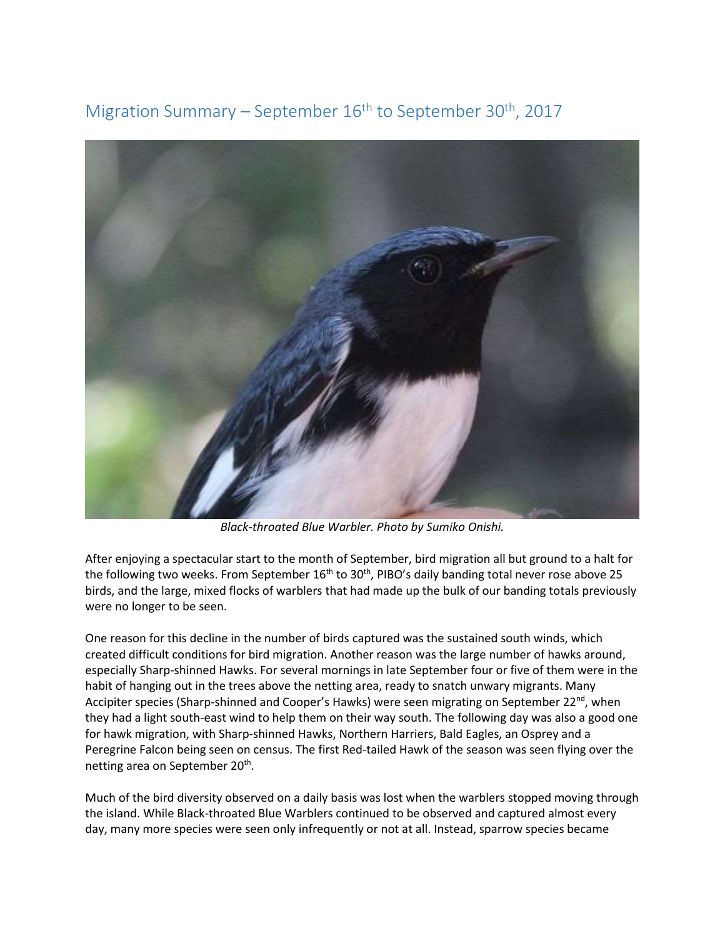Migration Summary – September  $16<sup>th</sup>$  to September 30<sup>th</sup>, 2017



*Black-throated Blue Warbler. Photo by Sumiko Onishi.* 

After enjoying a spectacular start to the month of September, bird migration all but ground to a halt for the following two weeks. From September 16<sup>th</sup> to 30<sup>th</sup>, PIBO's daily banding total never rose above 25 birds, and the large, mixed flocks of warblers that had made up the bulk of our banding totals previously were no longer to be seen.

One reason for this decline in the number of birds captured was the sustained south winds, which created difficult conditions for bird migration. Another reason was the large number of hawks around, especially Sharp-shinned Hawks. For several mornings in late September four or five of them were in the habit of hanging out in the trees above the netting area, ready to snatch unwary migrants. Many Accipiter species (Sharp-shinned and Cooper's Hawks) were seen migrating on September 22<sup>nd</sup>, when they had a light south-east wind to help them on their way south. The following day was also a good one for hawk migration, with Sharp-shinned Hawks, Northern Harriers, Bald Eagles, an Osprey and a Peregrine Falcon being seen on census. The first Red-tailed Hawk of the season was seen flying over the netting area on September 20<sup>th</sup>.

Much of the bird diversity observed on a daily basis was lost when the warblers stopped moving through the island. While Black-throated Blue Warblers continued to be observed and captured almost every day, many more species were seen only infrequently or not at all. Instead, sparrow species became